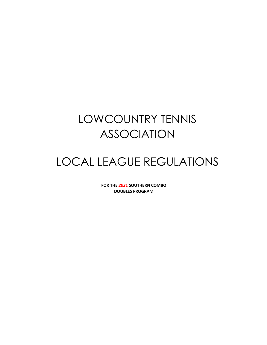# LOWCOUNTRY TENNIS ASSOCIATION

# LOCAL LEAGUE REGULATIONS

**FOR THE** *2021* **SOUTHERN COMBO DOUBLES PROGRAM**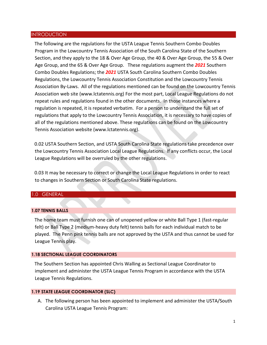#### INTRODUCTION

The following are the regulations for the USTA League Tennis Southern Combo Doubles Program in the Lowcountry Tennis Association of the South Carolina State of the Southern Section, and they apply to the 18 & Over Age Group, the 40 & Over Age Group, the 55 & Over Age Group, and the 65 & Over Age Group. These regulations augment the *2021* Southern Combo Doubles Regulations; the *2021* USTA South Carolina Southern Combo Doubles Regulations, the Lowcountry Tennis Association Constitution and the Lowcountry Tennis Association By-Laws. All of the regulations mentioned can be found on the Lowcountry Tennis Association web site (www.lctatennis.org) For the most part, Local League Regulations do not repeat rules and regulations found in the other documents. In those instances where a regulation is repeated, it is repeated verbatim. For a person to understand the full set of regulations that apply to the Lowcountry Tennis Association, it is necessary to have copies of all of the regulations mentioned above. These regulations can be found on the Lowcountry Tennis Association website (www.lctatennis.org).

0.02 USTA Southern Section, and USTA South Carolina State regulations take precedence over the Lowcountry Tennis Association Local League Regulations. If any conflicts occur, the Local League Regulations will be overruled by the other regulations.

0.03 It may be necessary to correct or change the Local League Regulations in order to react to changes in Southern Section or South Carolina State regulations.

## 1.0 GENERAL

#### **1.07 TENNIS BALLS**

The home team must furnish one can of unopened yellow or white Ball Type 1 (fast-regular felt) or Ball Type 2 (medium-heavy duty felt) tennis balls for each individual match to be played. The Penn pink tennis balls are not approved by the USTA and thus cannot be used for League Tennis play.

#### **1.18 SECTIONAL LEAGUE COORDINATORS**

The Southern Section has appointed Chris Walling as Sectional League Coordinator to implement and administer the USTA League Tennis Program in accordance with the USTA League Tennis Regulations.

#### **1.19 STATE LEAGUE COORDINATOR (SLC)**

A. The following person has been appointed to implement and administer the USTA/South Carolina USTA League Tennis Program: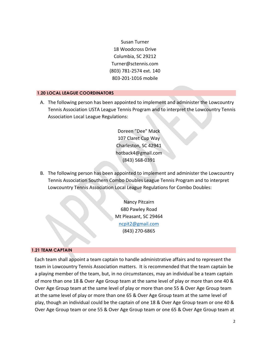Susan Turner 18 Woodcross Drive Columbia, SC 29212 Turner@sctennis.com (803) 781-2574 ext. 140 803-201-1016 mobile

## **1.20 LOCAL LEAGUE COORDINATORS**

A. The following person has been appointed to implement and administer the Lowcountry Tennis Association USTA League Tennis Program and to interpret the Lowcountry Tennis Association Local League Regulations:

> Doreen "Dee" Mack 107 Claret Cup Way Charleston, SC 42941 hotback4@gmail.com (843) 568-0391

B. The following person has been appointed to implement and administer the Lowcountry Tennis Association Southern Combo Doubles League Tennis Program and to interpret Lowcountry Tennis Association Local League Regulations for Combo Doubles:

> Nancy Pitcairn 680 Pawley Road Mt Pleasant, SC 29464 [ncpit2@gmail.com](mailto:ncpit2@gmail.com) (843) 270-6865

## **1.21 TEAM CAPTAIN**

Each team shall appoint a team captain to handle administrative affairs and to represent the team in Lowcountry Tennis Association matters. It is recommended that the team captain be a playing member of the team, but, in no circumstances, may an individual be a team captain of more than one 18 & Over Age Group team at the same level of play or more than one 40 & Over Age Group team at the same level of play or more than one 55 & Over Age Group team at the same level of play or more than one 65 & Over Age Group team at the same level of play, though an individual could be the captain of one 18 & Over Age Group team or one 40 & Over Age Group team or one 55 & Over Age Group team or one 65 & Over Age Group team at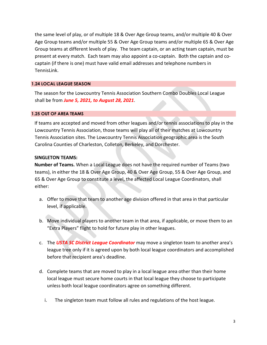the same level of play, or of multiple 18 & Over Age Group teams, and/or multiple 40 & Over Age Group teams and/or multiple 55 & Over Age Group teams and/or multiple 65 & Over Age Group teams at different levels of play. The team captain, or an acting team captain, must be present at every match. Each team may also appoint a co-captain. Both the captain and cocaptain (if there is one) must have valid email addresses and telephone numbers in TennisLink.

# **1.24 LOCAL LEAGUE SEASON**

The season for the Lowcountry Tennis Association Southern Combo Doubles Local League shall be from *June 5, 2021, to August 28, 2021*.

## **1.25 OUT OF AREA TEAMS**

If teams are accepted and moved from other leagues and/or tennis associations to play in the Lowcountry Tennis Association, those teams will play all of their matches at Lowcountry Tennis Association sites. The Lowcountry Tennis Association geographic area is the South Carolina Counties of Charleston, Colleton, Berkeley, and Dorchester.

## **SINGLETON TEAMS:**

**Number of Teams.** When a Local League does not have the required number of Teams (two teams), in either the 18 & Over Age Group, 40 & Over Age Group, 55 & Over Age Group, and 65 & Over Age Group to constitute a level, the affected Local League Coordinators, shall either:

- a. Offer to move that team to another age division offered in that area in that particular level, if applicable.
- b. Move individual players to another team in that area, if applicable, or move them to an "Extra Players" flight to hold for future play in other leagues.
- c. The *USTA SC District League Coordinator* may move a singleton team to another area's league tree only if it is agreed upon by both local league coordinators and accomplished before that recipient area's deadline.
- d. Complete teams that are moved to play in a local league area other than their home local league must secure home courts in that local league they choose to participate unless both local league coordinators agree on something different.
	- i. The singleton team must follow all rules and regulations of the host league.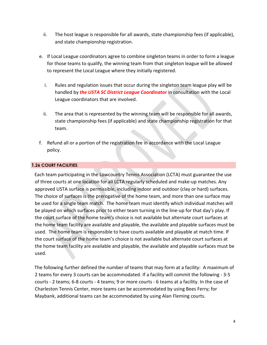- ii. The host league is responsible for all awards, state championship fees (if applicable), and state championship registration.
- e. If Local League coordinators agree to combine singleton teams in order to form a league for those teams to qualify, the winning team from that singleton league will be allowed to represent the Local League where they initially registered.
	- i. Rules and regulation issues that occur during the singleton team league play will be handled by *the USTA SC District League Coordinator* in consultation with the Local League coordinators that are involved.
	- ii. The area that is represented by the winning team will be responsible for all awards, state championship fees (if applicable) and state championship registration for that team.
- f. Refund all or a portion of the registration fee in accordance with the Local League policy.

# **1.26 COURT FACILITIES**

Each team participating in the Lowcountry Tennis Association (LCTA) must guarantee the use of three courts at one location for all LCTA regularly scheduled and make-up matches. Any approved USTA surface is permissible, including indoor and outdoor (clay or hard) surfaces. The choice of surfaces is the prerogative of the home team, and more than one surface may be used for a single team match. The home team must identify which individual matches will be played on which surfaces prior to either team turning in the line-up for that day's play. If the court surface of the home team's choice is not available but alternate court surfaces at the home team facility are available and playable, the available and playable surfaces must be used. The home team is responsible to have courts available and playable at match time. If the court surface of the home team's choice is not available but alternate court surfaces at the home team facility are available and playable, the available and playable surfaces must be used.

The following further defined the number of teams that may form at a facility: A maximum of 2 teams for every 3 courts can be accommodated. If a facility will commit the following - 3-5 courts - 2 teams; 6-8 courts - 4 teams; 9 or more courts - 6 teams at a facility. In the case of Charleston Tennis Center, more teams can be accommodated by using Bees Ferry; for Maybank, additional teams can be accommodated by using Alan Fleming courts.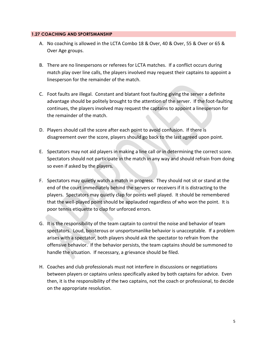## **1.27 COACHING AND SPORTSMANSHIP**

- A. No coaching is allowed in the LCTA Combo 18 & Over, 40 & Over, 55 & Over or 65 & Over Age groups.
- B. There are no linespersons or referees for LCTA matches. If a conflict occurs during match play over line calls, the players involved may request their captains to appoint a linesperson for the remainder of the match.
- C. Foot faults are illegal. Constant and blatant foot faulting giving the server a definite advantage should be politely brought to the attention of the server. If the foot-faulting continues, the players involved may request the captains to appoint a linesperson for the remainder of the match.
- D. Players should call the score after each point to avoid confusion. If there is disagreement over the score, players should go back to the last agreed upon point.
- E. Spectators may not aid players in making a line call or in determining the correct score. Spectators should not participate in the match in any way and should refrain from doing so even if asked by the players.
- F. Spectators may quietly watch a match in progress. They should not sit or stand at the end of the court immediately behind the servers or receivers if it is distracting to the players. Spectators may quietly clap for points well played. It should be remembered that the well-played point should be applauded regardless of who won the point. It is poor tennis etiquette to clap for unforced errors.
- G. It is the responsibility of the team captain to control the noise and behavior of team spectators. Loud, boisterous or unsportsmanlike behavior is unacceptable. If a problem arises with a spectator, both players should ask the spectator to refrain from the offensive behavior. If the behavior persists, the team captains should be summoned to handle the situation. If necessary, a grievance should be filed.
- H. Coaches and club professionals must not interfere in discussions or negotiations between players or captains unless specifically asked by both captains for advice. Even then, it is the responsibility of the two captains, not the coach or professional, to decide on the appropriate resolution.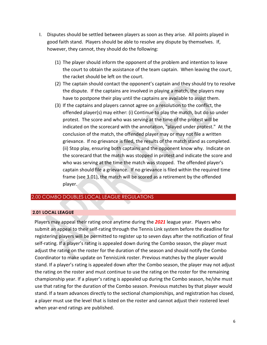- I. Disputes should be settled between players as soon as they arise. All points played in good faith stand. Players should be able to resolve any dispute by themselves. If, however, they cannot, they should do the following:
	- (1) The player should inform the opponent of the problem and intention to leave the court to obtain the assistance of the team captain. When leaving the court, the racket should be left on the court.
	- (2) The captain should contact the opponent's captain and they should try to resolve the dispute. If the captains are involved in playing a match, the players may have to postpone their play until the captains are available to assist them.
	- (3) If the captains and players cannot agree on a resolution to the conflict, the offended player(s) may either: (i) Continue to play the match, but do so under protest. The score and who was serving at the time of the protest will be indicated on the scorecard with the annotation, "played under protest." At the conclusion of the match, the offended player may or may not file a written grievance. If no grievance is filed, the results of the match stand as completed. (ii) Stop play, ensuring both captains and the opponent know why. Indicate on the scorecard that the match was stopped in protest and indicate the score and who was serving at the time the match was stopped. The offended player's captain should file a grievance. If no grievance is filed within the required time frame (see 3.01), the match will be scored as a retirement by the offended player.

# 2.00 COMBO DOUBLES LOCAL LEAGUE REGULATIONS

## **2.01 LOCAL LEAGUE**

Players may appeal their rating once anytime during the *2021* league year. Players who submit an appeal to their self-rating through the Tennis Link system before the deadline for registering players will be permitted to register up to seven days after the notification of final self-rating. If a player's rating is appealed down during the Combo season, the player must adjust the rating on the roster for the duration of the season and should notify the Combo Coordinator to make update on TennisLink roster. Previous matches by the player would stand. If a player's rating is appealed down after the Combo season, the player may not adjust the rating on the roster and must continue to use the rating on the roster for the remaining championship year. If a player's rating is appealed up during the Combo season, he/she must use that rating for the duration of the Combo season. Previous matches by that player would stand. If a team advances directly to the sectional championships, and registration has closed, a player must use the level that is listed on the roster and cannot adjust their rostered level when year-end ratings are published.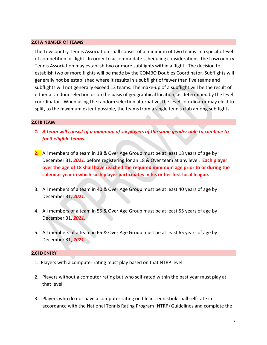#### **2.01A NUMBER OF TEAMS**

The Lowcountry Tennis Association shall consist of a minimum of two teams in a specific level of competition or flight. In order to accommodate scheduling considerations, the Lowcountry Tennis Association may establish two or more subflights within a flight. The decision to establish two or more flights will be made by the COMBO Doubles Coordinator. Subflights will generally not be established where it results in a subflight of fewer than five teams and subflights will not generally exceed 13 teams. The make-up of a subflight will be the result of either a random selection or on the basis of geographical location, as determined by the level coordinator. When using the random selection alternative, the level coordinator may elect to split, to the maximum extent possible, the teams from a single tennis club among subflights.

#### **2.01B TEAM**

- *1. A team will consist of a minimum of six players of the same gender able to combine to for 3 eligible teams.*
- **2.** All members of a team in 18 & Over Age Group must be at least 18 years of age by December 31, *2021*. before registering for an 18 & Over team at any level. **Each player over the age of 18 shall have reached the required minimum age prior to or during the calendar year in which such player participates in his or her first local league.**
- 3. All members of a team in 40 & Over Age Group must be at least 40 years of age by December 31, *2021*.
- 4. All members of a team in 55 & Over Age Group must be at least 55 years of age by December 31, *2021*.
- 5. All members of a team in 65 & Over Age Group must be at least 65 years of age by December 31, *2021*.

#### **2.01D ENTRY**

- 1. Players with a computer rating must play based on that NTRP level.
- 2. Players without a computer rating but who self-rated within the past year must play at that level.
- 3. Players who do not have a computer rating on file in TennisLink shall self-rate in accordance with the National Tennis Rating Program (NTRP) Guidelines and complete the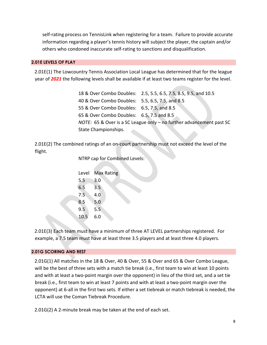self-rating process on TennisLink when registering for a team. Failure to provide accurate information regarding a player's tennis history will subject the player, the captain and/or others who condoned inaccurate self-rating to sanctions and disqualification.

# **2.01E LEVELS OF PLAY**

2.01E(1) The Lowcountry Tennis Association Local League has determined that for the league year of *2021* the following levels shall be available if at least two teams register for the level.

> 18 & Over Combo Doubles: 2.5, 5.5, 6.5, 7.5, 8.5, 9.5, and 10.5 40 & Over Combo Doubles: 5.5, 6.5, 7.5, and 8.5 55 & Over Combo Doubles: 6.5, 7.5, and 8.5 65 & Over Combo Doubles: 6.5, 7.5 and 8.5 *NOTE:* 65 & Over is a SC League only – no further advancement past SC State Championships.

2.01E(2) The combined ratings of an on-court partnership must not exceed the level of the flight.

NTRP cap for Combined Levels:

| Level | <b>Max Rating</b> |
|-------|-------------------|
| 5.5   | 3.0               |
| 6.5   | 3.5               |
| 7.5   | 4.0               |
| 8.5   | 5.0               |
| 9.5   | 5.5               |
| 10.5  | 6.0               |
|       |                   |

2.01E(3) Each team must have a minimum of three AT LEVEL partnerships registered. For example, a 7.5 team must have at least three 3.5 players and at least three 4.0 players.

# **2.01G SCORING AND REST**

2.01G(1) All matches in the 18 & Over, 40 & Over, 55 & Over and 65 & Over Combo League, will be the best of three sets with a match tie break (i.e., first team to win at least 10 points and with at least a two-point margin over the opponent) in lieu of the third set, and a set tie break (i.e., first team to win at least 7 points and with at least a two-point margin over the opponent) at 6-all in the first two sets. If either a set tiebreak or match tiebreak is needed, the LCTA will use the Coman Tiebreak Procedure.

2.01G(2) A 2-minute break may be taken at the end of each set.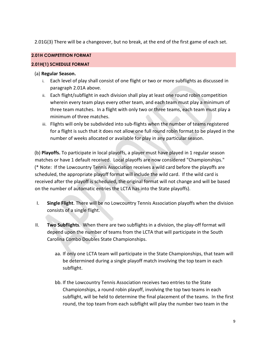2.01G(3) There will be a changeover, but no break, at the end of the first game of each set.

# **2.01H COMPETITION FORMAT**

# **2.01H(1) SCHEDULE FORMAT**

# (a) **Regular Season.**

- i. Each level of play shall consist of one flight or two or more subflights as discussed in paragraph 2.01A above.
- ii. Each flight/subflight in each division shall play at least one round robin competition wherein every team plays every other team, and each team must play a minimum of three team matches. In a flight with only two or three teams, each team must play a minimum of three matches.
- iii. Flights will only be subdivided into sub-flights when the number of teams registered for a flight is such that it does not allow one full round robin format to be played in the number of weeks allocated or available for play in any particular season.

(b) **Playoffs.** To participate in local playoffs, a player must have played in 1 regular season matches or have 1 default received. Local playoffs are now considered "Championships." (\* Note: If the Lowcountry Tennis Association receives a wild card before the playoffs are scheduled, the appropriate playoff format will include the wild card. If the wild card is received after the playoff is scheduled, the original format will not change and will be based on the number of automatic entries the LCTA has into the State playoffs).

- I. **Single Flight**. There will be no Lowcountry Tennis Association playoffs when the division consists of a single flight.
- II. **Two Subflights**. When there are two subflights in a division, the play-off format will depend upon the number of teams from the LCTA that will participate in the South Carolina Combo Doubles State Championships.
	- aa. If only one LCTA team will participate in the State Championships, that team will be determined during a single playoff match involving the top team in each subflight.
	- bb. If the Lowcountry Tennis Association receives two entries to the State Championships, a round robin playoff, involving the top two teams in each subflight, will be held to determine the final placement of the teams. In the first round, the top team from each subflight will play the number two team in the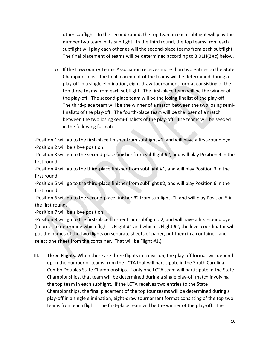other subflight. In the second round, the top team in each subflight will play the number two team in its subflight. In the third round, the top teams from each subflight will play each other as will the second-place teams from each subflight. The final placement of teams will be determined according to 3.01H(2)(c) below.

cc. If the Lowcountry Tennis Association receives more than two entries to the State Championships, the final placement of the teams will be determined during a play-off in a single elimination, eight-draw tournament format consisting of the top three teams from each subflight. The first-place team will be the winner of the play-off. The second-place team will be the losing finalist of the play-off. The third-place team will be the winner of a match between the two losing semifinalists of the play-off. The fourth-place team will be the loser of a match between the two losing semi-finalists of the play-off. The teams will be seeded in the following format:

-Position 1 will go to the first-place finisher from subflight #1, and will have a first-round bye. -Position 2 will be a bye position.

-Position 3 will go to the second-place finisher from subflight #2, and will play Position 4 in the first round.

-Position 4 will go to the third-place finisher from subflight #1, and will play Position 3 in the first round.

-Position 5 will go to the third-place finisher from subflight #2, and will play Position 6 in the first round.

-Position 6 will go to the second-place finisher #2 from subflight #1, and will play Position 5 in the first round.

-Position 7 will be a bye position.

-Position 8 will go to the first-place finisher from subflight #2, and will have a first-round bye. (In order to determine which flight is Flight #1 and which is Flight #2, the level coordinator will put the names of the two flights on separate sheets of paper, put them in a container, and select one sheet from the container. That will be Flight #1.)

III. **Three Flights**. When there are three flights in a division, the play-off format will depend upon the number of teams from the LCTA that will participate in the South Carolina Combo Doubles State Championships. If only one LCTA team will participate in the State Championships, that team will be determined during a single play-off match involving the top team in each subflight. If the LCTA receives two entries to the State Championships, the final placement of the top four teams will be determined during a play-off in a single elimination, eight-draw tournament format consisting of the top two teams from each flight. The first-place team will be the winner of the play-off. The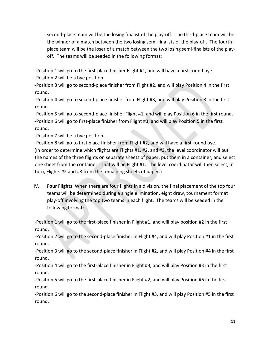second-place team will be the losing finalist of the play-off. The third-place team will be the winner of a match between the two losing semi-finalists of the play-off. The fourthplace team will be the loser of a match between the two losing semi-finalists of the playoff. The teams will be seeded in the following format:

-Position 1 will go to the first-place finisher Flight #1, and will have a first-round bye.

-Position 2 will be a bye position.

-Position 3 will go to second-place finisher from Flight #2, and will play Position 4 in the first round.

-Position 4 will go to second-place finisher from Flight #3, and will play Position 3 in the first round.

-Position 5 will go to second-place finisher Flight #1, and will play Position 6 in the first round. -Position 6 will go to first-place finisher from Flight #3, and will play Position 5 in the first round.

-Position 7 will be a bye position.

-Position 8 will go to first place finisher from Flight #2, and will have a first-round bye. (In order to determine which flights are Flights #1, #2, and #3, the level coordinator will put the names of the three flights on separate sheets of paper, put them in a container, and select one sheet from the container. That will be Flight #1. The level coordinator will then select, in turn, Flights #2 and #3 from the remaining sheets of paper.)

IV. **Four Flights**. When there are four flights in a division, the final placement of the top four teams will be determined during a single elimination, eight draw, tournament format play-off involving the top two teams in each flight. The teams will be seeded in the following format:

-Position 1 will go to the first-place finisher in Flight #1, and will play position #2 in the first round.

-Position 2 will go to the second-place finisher in Flight #4, and will play Position #1 in the first round.

-Position 3 will go to the second-place finisher in Flight #2, and will play Position #4 in the first round.

-Position 4 will go to the first-place finisher in Flight #3, and will play Position #3 in the first round.

-Position 5 will go to the first-place finisher in Flight #2, and will play Position #6 in the first round.

-Position 6 will go to the second-place finisher in Flight #3, and will play Position #5 in the first round.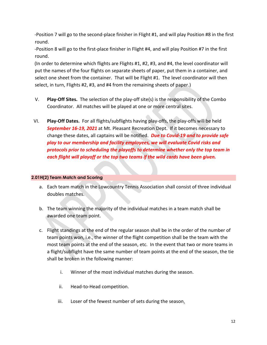-Position 7 will go to the second-place finisher in Flight #1, and will play Position #8 in the first round.

-Position 8 will go to the first-place finisher in Flight #4, and will play Position #7 in the first round.

(In order to determine which flights are Flights #1, #2, #3, and #4, the level coordinator will put the names of the four flights on separate sheets of paper, put them in a container, and select one sheet from the container. That will be Flight #1. The level coordinator will then select, in turn, Flights #2, #3, and #4 from the remaining sheets of paper.)

- V. **Play-Off Sites.** The selection of the play-off site(s) is the responsibility of the Combo Coordinator. All matches will be played at one or more central sites.
- VI. **Play-Off Dates.** For all flights/subflights having play-offs, the play-offs will be held *September 16-19, 2021* at Mt. Pleasant Recreation Dept. If it becomes necessary to change these dates, all captains will be notified. *Due to Covid-19 and to provide safe play to our membership and facility employees, we will evaluate Covid risks and protocols prior to scheduling the playoffs to determine whether only the top team in each flight will playoff or the top two teams if the wild cards have been given.*

# **2.01H(2) Team Match and Scoring**

- a. Each team match in the Lowcountry Tennis Association shall consist of three individual doubles matches.
- b. The team winning the majority of the individual matches in a team match shall be awarded one team point.
- c. Flight standings at the end of the regular season shall be in the order of the number of team points won, i.e., the winner of the flight competition shall be the team with the most team points at the end of the season, etc. In the event that two or more teams in a flight/subflight have the same number of team points at the end of the season, the tie shall be broken in the following manner:
	- i. Winner of the most individual matches during the season.
	- ii. Head-to-Head competition.
	- iii. Loser of the fewest number of sets during the season.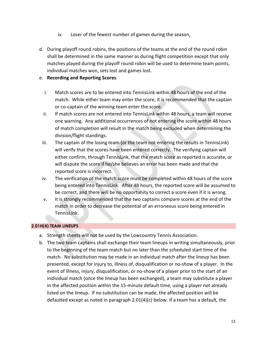- iv. Loser of the fewest number of games during the season.
- d. During playoff round robins, the positions of the teams at the end of the round robin shall be determined in the same manner as during flight competition except that only matches played during the playoff round robin will be used to determine team points, individual matches won, sets lost and games lost.

# e. **Recording and Reporting Scores**.

- i. Match scores are to be entered into TennisLink within 48 hours of the end of the match. While either team may enter the score, it is recommended that the captain or co-captain of the winning team enter the score.
- ii. If match scores are not entered into TennisLink within 48 hours, a team will receive one warning. Any additional occurrences of not entering the score within 48 hours of match completion will result in the match being excluded when determining the division/flight standings.
- iii. The captain of the losing team (or the team not entering the results in TennisLink) will verify that the scores have been entered correctly. The verifying captain will either confirm, through TennisLink, that the match score as reported is accurate, or will dispute the score if he/she believes an error has been made and that the reported score is incorrect.
- iv. The verification of the match score must be completed within 48 hours of the score being entered into TennisLink. After 48 hours, the reported score will be assumed to be correct, and there will be no opportunity to correct a score even if it is wrong.
- v. It is strongly recommended that the two captains compare scores at the end of the match in order to decrease the potential of an erroneous score being entered in TennisLink.

# **2.01H(4) TEAM LINEUPS**

- a. Strength sheets will not be used by the Lowcountry Tennis Association.
- b. The two team captains shall exchange their team lineups in writing simultaneously, prior to the beginning of the team match but no later than the scheduled start time of the match. No substitution may be made in an individual match after the lineup has been presented, except for injury to, illness of, disqualification or no-show of a player. In the event of illness, injury, disqualification, or no-show of a player prior to the start of an individual match (once the lineup has been exchanged), a team may substitute a player in the affected position within the 15-minute default time, using a player not already listed on the lineup. If no substitution can be made, the affected position will be defaulted except as noted in paragraph 2.01(4)(c) below. If a team has a default, the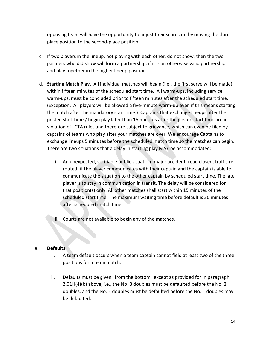opposing team will have the opportunity to adjust their scorecard by moving the thirdplace position to the second-place position.

- c. If two players in the lineup, not playing with each other, do not show, then the two partners who did show will form a partnership, if it is an otherwise valid partnership, and play together in the higher lineup position.
- d. **Starting Match Play.** All individual matches will begin (i.e., the first serve will be made) within fifteen minutes of the scheduled start time. All warm-ups, including service warm-ups, must be concluded prior to fifteen minutes after the scheduled start time. (Exception: All players will be allowed a five-minute warm-up even if this means starting the match after the mandatory start time.) Captains that exchange lineups after the posted start time / begin play later than 15 minutes after the posted start time are in violation of LCTA rules and therefore subject to grievance, which can even be filed by captains of teams who play after your matches are over. We encourage Captains to exchange lineups 5 minutes before the scheduled match time so the matches can begin. There are two situations that a delay in starting play MAY be accommodated:
	- i. An unexpected, verifiable public situation (major accident, road closed, traffic rerouted) if the player communicates with their captain and the captain is able to communicate the situation to the other captain by scheduled start time. The late player is to stay in communication in transit. The delay will be considered for that position(s) only. All other matches shall start within 15 minutes of the scheduled start time. The maximum waiting time before default is 30 minutes after scheduled match time.
	- ii. Courts are not available to begin any of the matches.

# e. **Defaults**.

- i. A team default occurs when a team captain cannot field at least two of the three positions for a team match.
- ii. Defaults must be given "from the bottom" except as provided for in paragraph 2.01H(4)(b) above, i.e., the No. 3 doubles must be defaulted before the No. 2 doubles, and the No. 2 doubles must be defaulted before the No. 1 doubles may be defaulted.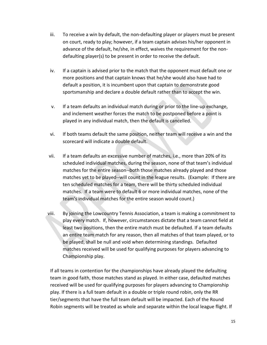- iii. To receive a win by default, the non-defaulting player or players must be present on court, ready to play; however, if a team captain advises his/her opponent in advance of the default, he/she, in effect, waives the requirement for the nondefaulting player(s) to be present in order to receive the default.
- iv. If a captain is advised prior to the match that the opponent must default one or more positions and that captain knows that he/she would also have had to default a position, it is incumbent upon that captain to demonstrate good sportsmanship and declare a double default rather than to accept the win.
- v. If a team defaults an individual match during or prior to the line-up exchange, and inclement weather forces the match to be postponed before a point is played in any individual match, then the default is cancelled.
- vi. If both teams default the same position, neither team will receive a win and the scorecard will indicate a double default.
- vii. If a team defaults an excessive number of matches, i.e., more than 20% of its scheduled individual matches, during the season, none of that team's individual matches for the entire season--both those matches already played and those matches yet to be played--will count in the league results. (Example: If there are ten scheduled matches for a team, there will be thirty scheduled individual matches. If a team were to default 6 or more individual matches, none of the team's individual matches for the entire season would count.)
- viii. By joining the Lowcountry Tennis Association, a team is making a commitment to play every match. If, however, circumstances dictate that a team cannot field at least two positions, then the entire match must be defaulted. If a team defaults an entire team match for any reason, then all matches of that team played, or to be played, shall be null and void when determining standings. Defaulted matches received will be used for qualifying purposes for players advancing to Championship play.

If all teams in contention for the championships have already played the defaulting team in good faith, those matches stand as played. In either case, defaulted matches received will be used for qualifying purposes for players advancing to Championship play. If there is a full team default in a double or triple round robin, only the RR tier/segments that have the full team default will be impacted. Each of the Round Robin segments will be treated as whole and separate within the local league flight. If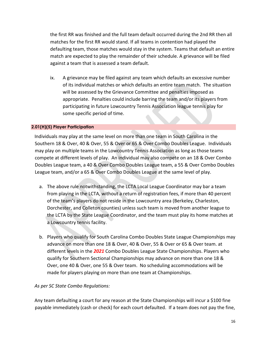the first RR was finished and the full team default occurred during the 2nd RR then all matches for the first RR would stand. If all teams in contention had played the defaulting team, those matches would stay in the system. Teams that default an entire match are expected to play the remainder of their schedule. A grievance will be filed against a team that is assessed a team default.

ix. A grievance may be filed against any team which defaults an excessive number of its individual matches or which defaults an entire team match. The situation will be assessed by the Grievance Committee and penalties imposed as appropriate. Penalties could include barring the team and/or its players from participating in future Lowcountry Tennis Association league tennis play for some specific period of time.

# **2.01(H)(5) Player Participation**

Individuals may play at the same level on more than one team in South Carolina in the Southern 18 & Over, 40 & Over, 55 & Over or 65 & Over Combo Doubles League. Individuals may play on multiple teams in the Lowcountry Tennis Association as long as those teams compete at different levels of play. An individual may also compete on an 18 & Over Combo Doubles League team, a 40 & Over Combo Doubles League team, a 55 & Over Combo Doubles League team, and/or a 65 & Over Combo Doubles League at the same level of play.

- a. The above rule notwithstanding, the LCTA Local League Coordinator may bar a team from playing in the LCTA, without a return of registration fees, if more than 40 percent of the team's players do not reside in the Lowcountry area (Berkeley, Charleston, Dorchester, and Colleton counties) unless such team is moved from another league to the LCTA by the State League Coordinator, and the team must play its home matches at a Lowcountry tennis facility.
- b. Players who qualify for South Carolina Combo Doubles State League Championships may advance on more than one 18 & Over, 40 & Over, 55 & Over or 65 & Over team. at different levels in the *2021* Combo Doubles League State Championships. Players who qualify for Southern Sectional Championships may advance on more than one 18 & Over, one 40 & Over, one 55 & Over team. No scheduling accommodations will be made for players playing on more than one team at Championships.

# *As per SC State Combo Regulations:*

Any team defaulting a court for any reason at the State Championships will incur a \$100 fine payable immediately (cash or check) for each court defaulted. If a team does not pay the fine,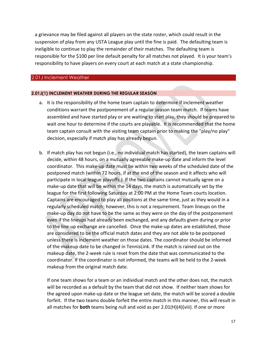a grievance may be filed against all players on the state roster, which could result in the suspension of play from any USTA League play until the fine is paid. The defaulting team is ineligible to continue to play the remainder of their matches. The defaulting team is responsible for the \$100 per line default penalty for all matches not played. It is your team's responsibility to have players on every court at each match at a state championship.

## 2.01J Inclement Weather

## **2.01J(1) INCLEMENT WEATHER DURING THE REGULAR SEASON**

- a. It is the responsibility of the home team captain to determine if inclement weather conditions warrant the postponement of a regular season team match. If teams have assembled and have started play or are waiting to start play, they should be prepared to wait one hour to determine if the courts are playable. It is recommended that the home team captain consult with the visiting team captain prior to making the "play/no play" decision, especially if match play has already begun.
- b. If match play has not begun (i.e., no individual match has started), the team captains will decide, within 48 hours, on a mutually agreeable make-up date and inform the level coordinator. This make-up date must be within two weeks of the scheduled date of the postponed match (within 72 hours, if at the end of the season and it affects who will participate in local league playoffs.) If the two captains cannot mutually agree on a make-up date that will be within the 14 days, the match is automatically set by the league for the first following Saturday at 2:00 PM at the Home Team courts location. Captains are encouraged to play all positions at the same time, just as they would in a regularly scheduled match; however, this is not a requirement. Team lineups on the make-up day do not have to be the same as they were on the day of the postponement even if the lineups had already been exchanged, and any defaults given during or prior to the line-up exchange are cancelled. Once the make-up dates are established, those are considered to be the official match dates and they are not able to be postponed unless there is inclement weather on those dates. The coordinator should be informed of the makeup date to be changed in TennisLink. If the match is rained out on the makeup date, the 2-week rule is reset from the date that was communicated to the coordinator. If the coordinator is not informed, the teams will be held to the 2-week makeup from the original match date.

If one team shows for a team or an individual match and the other does not, the match will be recorded as a default by the team that did not show. If neither team shows for the agreed upon make-up date or the league set date, the match will be scored a double forfeit. If the two teams double forfeit the entire match in this manner, this will result in all matches for **both** teams being null and void as per 2.01(H)(4)(viii). If one or more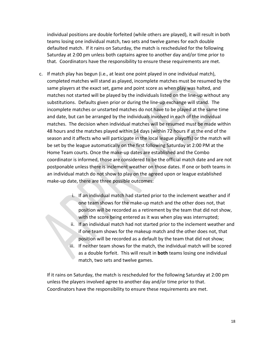individual positions are double forfeited (while others are played), it will result in both teams losing one individual match, two sets and twelve games for each double defaulted match. If it rains on Saturday, the match is rescheduled for the following Saturday at 2:00 pm unless both captains agree to another day and/or time prior to that. Coordinators have the responsibility to ensure these requirements are met.

- c. If match play has begun (i.e., at least one point played in one individual match), completed matches will stand as played, incomplete matches must be resumed by the same players at the exact set, game and point score as when play was halted, and matches not started will be played by the individuals listed on the line-up without any substitutions. Defaults given prior or during the line-up exchange will stand. The incomplete matches or unstarted matches do not have to be played at the same time and date, but can be arranged by the individuals involved in each of the individual matches. The decision when individual matches will be resumed must be made within 48 hours and the matches played within 14 days (within 72 hours if at the end of the season and it affects who will participate in the local league playoffs) or the match will be set by the league automatically on the first following Saturday at 2:00 PM at the Home Team courts. Once the make-up dates are established and the Combo coordinator is informed, those are considered to be the official match date and are not postponable unless there is inclement weather on those dates. If one or both teams in an individual match do not show to play on the agreed upon or league established make-up date, there are three possible outcomes:
	- i. If an individual match had started prior to the inclement weather and if one team shows for the make-up match and the other does not, that position will be recorded as a retirement by the team that did not show, with the score being entered as it was when play was interrupted;
	- ii. If an individual match had not started prior to the inclement weather and if one team shows for the makeup match and the other does not, that position will be recorded as a default by the team that did not show;
	- iii. If neither team shows for the match, the individual match will be scored as a double forfeit. This will result in **both** teams losing one individual match, two sets and twelve games.

If it rains on Saturday, the match is rescheduled for the following Saturday at 2:00 pm unless the players involved agree to another day and/or time prior to that. Coordinators have the responsibility to ensure these requirements are met.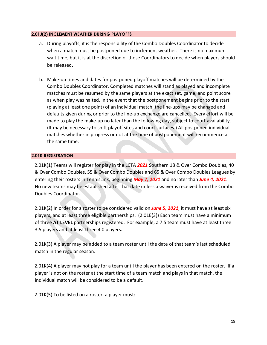## **2.01J(2) INCLEMENT WEATHER DURING PLAYOFFS**

- a. During playoffs, it is the responsibility of the Combo Doubles Coordinator to decide when a match must be postponed due to inclement weather. There is no maximum wait time, but it is at the discretion of those Coordinators to decide when players should be released.
- b. Make-up times and dates for postponed playoff matches will be determined by the Combo Doubles Coordinator. Completed matches will stand as played and incomplete matches must be resumed by the same players at the exact set, game, and point score as when play was halted. In the event that the postponement begins prior to the start (playing at least one point) of an individual match, the line-ups may be changed and defaults given during or prior to the line-up exchange are cancelled. Every effort will be made to play the make-up no later than the following day, subject to court availability. (It may be necessary to shift playoff sites and court surfaces.) All postponed individual matches whether in progress or not at the time of postponement will recommence at the same time.

# **2.01K REGISTRATION**

2.01K(1) Teams will register for play in the LCTA *2021* Southern 18 & Over Combo Doubles, 40 & Over Combo Doubles, 55 & Over Combo Doubles and 65 & Over Combo Doubles Leagues by entering their rosters in TennisLink, beginning *May 7, 2021* and no later than *June 4, 2021*. No new teams may be established after that date unless a waiver is received from the Combo Doubles Coordinator.

2.01K(2) In order for a roster to be considered valid on *June 5, 2021*, it must have at least six players, and at least three eligible partnerships. (2.01E(3)) Each team must have a minimum of three **AT LEVEL** partnerships registered. For example, a 7.5 team must have at least three 3.5 players and at least three 4.0 players.

2.01K(3) A player may be added to a team roster until the date of that team's last scheduled match in the regular season.

2.01K(4) A player may not play for a team until the player has been entered on the roster. If a player is not on the roster at the start time of a team match and plays in that match, the individual match will be considered to be a default.

2.01K(5) To be listed on a roster, a player must: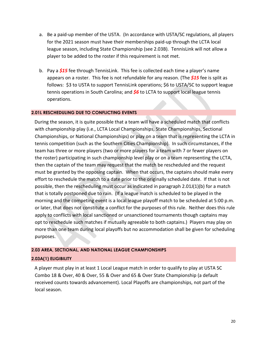- a. Be a paid-up member of the USTA. (In accordance with USTA/SC regulations, all players for the 2021 season must have their memberships paid-up through the LCTA local league season, including State Championship (see 2.03B). TennisLink will not allow a player to be added to the roster if this requirement is not met.
- b. Pay a *\$15* fee through TennisLink. This fee is collected each time a player's name appears on a roster. This fee is not refundable for any reason. (The *\$15* fee is split as follows: \$3 to USTA to support TennisLink operations; \$6 to USTA/SC to support league tennis operations in South Carolina; and *\$6* to LCTA to support local league tennis operations.

## **2.01L RESCHEDULING DUE TO CONFLICTING EVENTS**

During the season, it is quite possible that a team will have a scheduled match that conflicts with championship play (i.e., LCTA Local Championships, State Championships, Sectional Championships, or National Championships) or play on a team that is representing the LCTA in tennis competition (such as the Southern Cities Championship). In such circumstances, if the team has three or more players (two or more players for a team with 7 or fewer players on the roster) participating in such championship level play or on a team representing the LCTA, then the captain of the team may request that the match be rescheduled and the request must be granted by the opposing captain. When that occurs, the captains should make every effort to reschedule the match to a date prior to the originally scheduled date. If that is not possible, then the rescheduling must occur as indicated in paragraph 2.01J(1)(b) for a match that is totally postponed due to rain. (If a league match is scheduled to be played in the morning and the competing event is a local league playoff match to be scheduled at 5:00 p.m. or later, that does not constitute a conflict for the purposes of this rule. Neither does this rule apply to conflicts with local sanctioned or unsanctioned tournaments though captains may opt to reschedule such matches if mutually agreeable to both captains.) Players may play on more than one team during local playoffs but no accommodation shall be given for scheduling purposes.

## **2.03 AREA, SECTIONAL, AND NATIONAL LEAGUE CHAMPIONSHIPS**

## **2.03A(1) ELIGIBILITY**

A player must play in at least 1 Local League match in order to qualify to play at USTA SC Combo 18 & Over, 40 & Over, 55 & Over and 65 & Over State Championship (a default received counts towards advancement). Local Playoffs are championships, not part of the local season.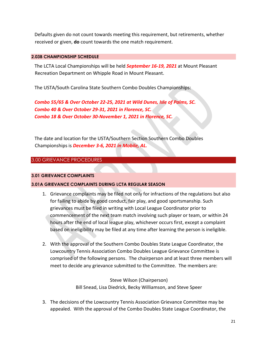Defaults given do not count towards meeting this requirement, but retirements, whether received or given, **do** count towards the one match requirement.

## **2.03B CHAMPIONSHIP SCHEDULE**

The LCTA Local Championships will be held *September 16-19, 2021* at Mount Pleasant Recreation Department on Whipple Road in Mount Pleasant.

The USTA/South Carolina State Southern Combo Doubles Championships:

*Combo 55/65 & Over October 22-25, 2021 at Wild Dunes, Isle of Palms, SC. Combo 40 & Over October 29-31, 2021 in Florence, SC. Combo 18 & Over October 30-November 1, 2021 in Florence, SC.*

The date and location for the USTA/Southern Section Southern Combo Doubles Championships is *December 3-6, 2021 in Mobile, AL.*

# 3.00 GRIEVANCE PROCEDURES

# **3.01 GRIEVANCE COMPLAINTS**

# **3.01A GRIEVANCE COMPLAINTS DURING LCTA REGULAR SEASON**

- 1. Grievance complaints may be filed not only for infractions of the regulations but also for failing to abide by good conduct, fair play, and good sportsmanship. Such grievances must be filed in writing with Local League Coordinator prior to commencement of the next team match involving such player or team, or within 24 hours after the end of local league play, whichever occurs first, except a complaint based on ineligibility may be filed at any time after learning the person is ineligible.
- 2. With the approval of the Southern Combo Doubles State League Coordinator, the Lowcountry Tennis Association Combo Doubles League Grievance Committee is comprised of the following persons. The chairperson and at least three members will meet to decide any grievance submitted to the Committee. The members are:

Steve Wilson (Chairperson) Bill Snead, Lisa Diedrick, Becky Williamson, and Steve Speer

3. The decisions of the Lowcountry Tennis Association Grievance Committee may be appealed. With the approval of the Combo Doubles State League Coordinator, the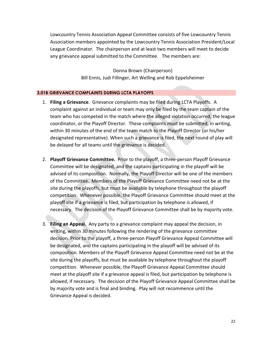Lowcountry Tennis Association Appeal Committee consists of five Lowcountry Tennis Association members appointed by the Lowcountry Tennis Association President/Local League Coordinator. The chairperson and at least two members will meet to decide any grievance appeal submitted to the Committee. The members are:

> Donna Brown (Chairperson) Bill Ennis, Judi Fillinger, Art Welling and Rob Eppelsheimer

## **3.01B GRIEVANCE COMPLAINTS DURING LCTA PLAYOFFS**

- 1. **Filing a Grievance**. Grievance complaints may be filed during LCTA Playoffs. A complaint against an individual or team may only be filed by the team captain of the team who has competed in the match where the alleged violation occurred, the league coordinator, or the Playoff Director. These complaints must be submitted, in writing, within 30 minutes of the end of the team match to the Playoff Director (or his/her designated representative). When such a grievance is filed, the next round of play will be delayed for all teams until the grievance is decided.
- 2. **Playoff Grievance Committee.** Prior to the playoff, a three-person Playoff Grievance Committee will be designated, and the captains participating in the playoff will be advised of its composition. Normally, the Playoff Director will be one of the members of the Committee. Members of the Playoff Grievance Committee need not be at the site during the playoffs, but must be available by telephone throughout the playoff competition. Whenever possible, the Playoff Grievance Committee should meet at the playoff site if a grievance is filed, but participation by telephone is allowed, if necessary. The decision of the Playoff Grievance Committee shall be by majority vote.
- 3. **Filing an Appeal.** Any party to a grievance complaint may appeal the decision, in writing, within 30 minutes following the rendering of the grievance committee decision. Prior to the playoff, a three-person Playoff Grievance Appeal Committee will be designated, and the captains participating in the playoff will be advised of its composition. Members of the Playoff Grievance Appeal Committee need not be at the site during the playoffs, but must be available by telephone throughout the playoff competition. Whenever possible, the Playoff Grievance Appeal Committee should meet at the playoff site if a grievance appeal is filed, but participation by telephone is allowed, if necessary. The decision of the Playoff Grievance Appeal Committee shall be by majority vote and is final and binding. Play will not recommence until the Grievance Appeal is decided.